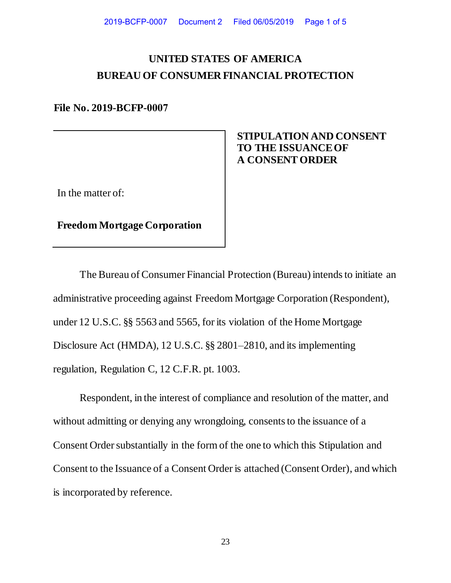# **UNITED STATES OF AMERICA BUREAU OF CONSUMER FINANCIAL PROTECTION**

**File No. 2019-BCFP-0007**

## **STIPULATION AND CONSENT TO THE ISSUANCE OF A CONSENT ORDER**

In the matter of:

**Freedom Mortgage Corporation**

The Bureau of Consumer Financial Protection (Bureau) intends to initiate an administrative proceeding against Freedom Mortgage Corporation (Respondent), under 12 U.S.C. §§ 5563 and 5565, for its violation of the Home Mortgage Disclosure Act (HMDA), 12 U.S.C. §§ 2801–2810, and its implementing regulation, Regulation C, 12 C.F.R. pt. 1003.

Respondent, in the interest of compliance and resolution of the matter, and without admitting or denying any wrongdoing, consents to the issuance of a Consent Order substantially in the form of the one to which this Stipulation and Consent to the Issuance of a Consent Order is attached (Consent Order), and which is incorporated by reference.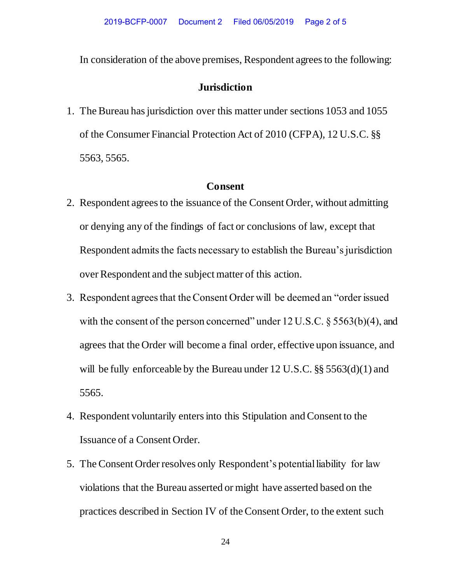In consideration of the above premises, Respondent agrees to the following:

## **Jurisdiction**

1. The Bureau has jurisdiction over this matter under sections 1053 and 1055 of the Consumer Financial Protection Act of 2010 (CFPA), 12 U.S.C. §§ 5563, 5565.

### **Consent**

- 2. Respondent agrees to the issuance of the Consent Order, without admitting or denying any of the findings of fact or conclusions of law, except that Respondent admits the facts necessary to establish the Bureau's jurisdiction over Respondent and the subject matter of this action.
- 3. Respondent agrees that the Consent Order will be deemed an "order issued with the consent of the person concerned" under 12 U.S.C. § 5563(b)(4), and agrees that the Order will become a final order, effective upon issuance, and will be fully enforceable by the Bureau under 12 U.S.C. §§ 5563(d)(1) and 5565.
- 4. Respondent voluntarily enters into this Stipulation and Consent to the Issuance of a Consent Order.
- 5. The Consent Order resolves only Respondent's potential liability for law violations that the Bureau asserted or might have asserted based on the practices described in Section IV of the Consent Order, to the extent such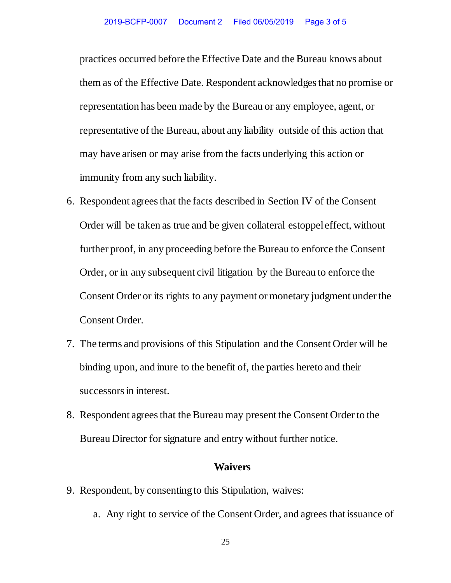practices occurred before the Effective Date and the Bureau knows about them as of the Effective Date. Respondent acknowledges that no promise or representation has been made by the Bureau or any employee, agent, or representative of the Bureau, about any liability outside of this action that may have arisen or may arise from the facts underlying this action or immunity from any such liability.

- 6. Respondent agrees that the facts described in Section IV of the Consent Order will be taken as true and be given collateral estoppel effect, without further proof, in any proceeding before the Bureau to enforce the Consent Order, or in any subsequent civil litigation by the Bureau to enforce the Consent Order or its rights to any payment or monetary judgment under the Consent Order.
- 7. The terms and provisions of this Stipulation and the Consent Order will be binding upon, and inure to the benefit of, the parties hereto and their successors in interest.
- 8. Respondent agrees that the Bureau may present the Consent Order to the Bureau Director for signature and entry without further notice.

#### **Waivers**

- 9. Respondent, by consenting to this Stipulation, waives:
	- a. Any right to service of the Consent Order, and agrees that issuance of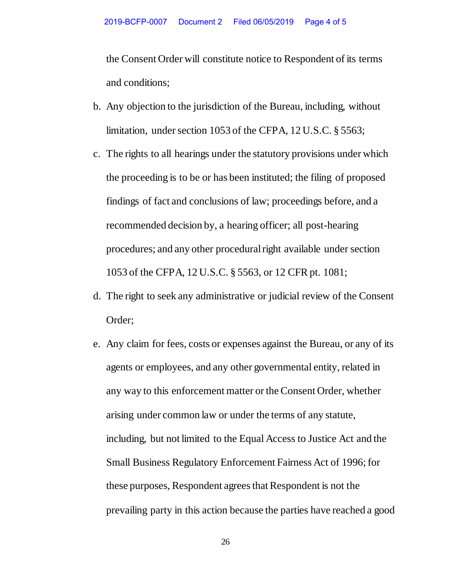the Consent Order will constitute notice to Respondent of its terms and conditions;

- b. Any objection to the jurisdiction of the Bureau, including, without limitation, under section 1053 of the CFPA, 12 U.S.C. § 5563;
- c. The rights to all hearings under the statutory provisions under which the proceeding is to be or has been instituted; the filing of proposed findings of fact and conclusions of law; proceedings before, and a recommended decision by, a hearing officer; all post-hearing procedures; and any other procedural right available under section 1053 of the CFPA, 12 U.S.C. § 5563, or 12 CFR pt. 1081;
- d. The right to seek any administrative or judicial review of the Consent Order;
- e. Any claim for fees, costs or expenses against the Bureau, or any of its agents or employees, and any other governmental entity, related in any way to this enforcement matter or the Consent Order, whether arising under common law or under the terms of any statute, including, but not limited to the Equal Access to Justice Act and the Small Business Regulatory Enforcement Fairness Act of 1996; for these purposes, Respondent agrees that Respondent is not the prevailing party in this action because the parties have reached a good